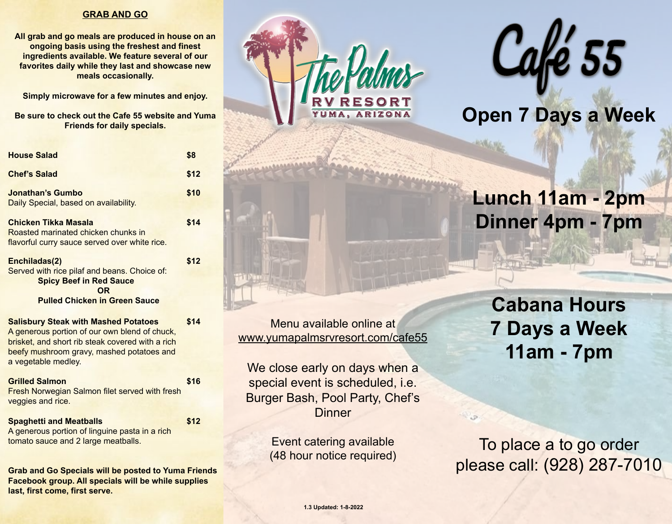#### **GRAB AND GO**

**All grab and go meals are produced in house on an ongoing basis using the freshest and finest ingredients available. We feature several of our favorites daily while they last and showcase new meals occasionally.** 

**Simply microwave for a few minutes and enjoy.**

**Be sure to check out the Cafe 55 website and Yuma Friends for daily specials.** 

| <b>House Salad</b>                                                                                                                                   | \$8  |
|------------------------------------------------------------------------------------------------------------------------------------------------------|------|
| <b>Chef's Salad</b>                                                                                                                                  | \$12 |
| Jonathan's Gumbo<br>Daily Special, based on availability.                                                                                            | \$10 |
| Chicken Tikka Masala<br>Roasted marinated chicken chunks in<br>flavorful curry sauce served over white rice.                                         | \$14 |
| Enchiladas(2)<br>Served with rice pilaf and beans. Choice of:<br><b>Spicy Beef in Red Sauce</b><br><b>OR</b><br><b>Pulled Chicken in Green Sauce</b> | \$12 |
| <b>Salisbury Steak with Mashed Potatoes</b><br>A generous portion of our own blend of chuck,                                                         | \$14 |

brisket, and short rib steak covered with a rich beefy mushroom gravy, mashed potatoes and a vegetable medley.

| <b>Grilled Salmon</b>                                 | \$16 |
|-------------------------------------------------------|------|
| <b>Fresh Norwegian Salmon filet served with fresh</b> |      |
| veggies and rice.                                     |      |

**Spaghetti and Meatballs \$12** A generous portion of linguine pasta in a rich tomato sauce and 2 large meatballs.

**Grab and Go Specials will be posted to Yuma Friends Facebook group. All specials will be while supplies last, first come, first serve.** 





# **Open 7 Days a Week**

# **Lunch 11am - 2pm Dinner 4pm - 7pm**

Menu available online at [www.yumapalmsrvresort.com/cafe55](http://www.yumapalmsrvresort.com/cafe55)

We close early on days when a special event is scheduled, i.e. Burger Bash, Pool Party, Chef's **Dinner** 

> Event catering available (48 hour notice required)

**Cabana Hours 7 Days a Week 11am - 7pm**

To place a to go order please call: (928) 287-7010